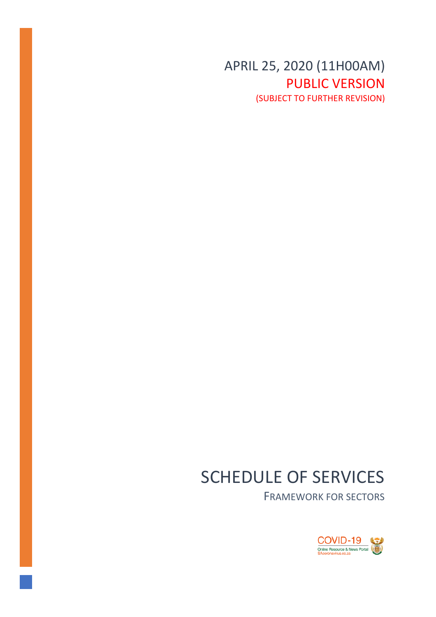APRIL 25, 2020 (11H00AM) PUBLIC VERSION (SUBJECT TO FURTHER REVISION)

# SCHEDULE OF SERVICES

FRAMEWORK FOR SECTORS

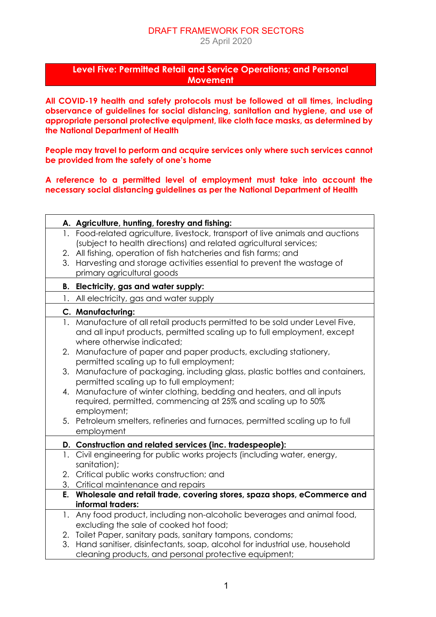#### DRAFT FRAMEWORK FOR SECTORS 25 April 2020

#### **Level Five: Permitted Retail and Service Operations; and Personal Movement**

**All COVID-19 health and safety protocols must be followed at all times, including observance of guidelines for social distancing, sanitation and hygiene, and use of appropriate personal protective equipment, like cloth face masks, as determined by the National Department of Health**

**People may travel to perform and acquire services only where such services cannot be provided from the safety of one's home**

**A reference to a permitted level of employment must take into account the necessary social distancing guidelines as per the National Department of Health**

|    | A. Agriculture, hunting, forestry and fishing:                                 |
|----|--------------------------------------------------------------------------------|
|    | 1. Food-related agriculture, livestock, transport of live animals and auctions |
|    | (subject to health directions) and related agricultural services;              |
|    | 2. All fishing, operation of fish hatcheries and fish farms; and               |
|    | 3. Harvesting and storage activities essential to prevent the wastage of       |
|    | primary agricultural goods                                                     |
|    | B. Electricity, gas and water supply:                                          |
|    | 1. All electricity, gas and water supply                                       |
|    | C. Manufacturing:                                                              |
|    | 1. Manufacture of all retail products permitted to be sold under Level Five,   |
|    | and all input products, permitted scaling up to full employment, except        |
|    | where otherwise indicated:                                                     |
|    | 2. Manufacture of paper and paper products, excluding stationery,              |
|    | permitted scaling up to full employment;                                       |
|    | 3. Manufacture of packaging, including glass, plastic bottles and containers,  |
|    | permitted scaling up to full employment;                                       |
|    | 4. Manufacture of winter clothing, bedding and heaters, and all inputs         |
|    | required, permitted, commencing at 25% and scaling up to 50%                   |
|    | employment;                                                                    |
|    | 5. Petroleum smelters, refineries and furnaces, permitted scaling up to full   |
|    | employment                                                                     |
|    | D. Construction and related services (inc. tradespeople):                      |
|    | 1. Civil engineering for public works projects (including water, energy,       |
|    | sanitation);                                                                   |
|    | 2. Critical public works construction; and                                     |
|    | 3. Critical maintenance and repairs                                            |
|    | E. Wholesale and retail trade, covering stores, spaza shops, eCommerce and     |
|    | informal traders:                                                              |
| 1. | Any food product, including non-alcoholic beverages and animal food,           |
|    | excluding the sale of cooked hot food;                                         |
|    | 2. Toilet Paper, sanitary pads, sanitary tampons, condoms;                     |
| 3. | Hand sanitiser, disinfectants, soap, alcohol for industrial use, household     |
|    | cleaning products, and personal protective equipment;                          |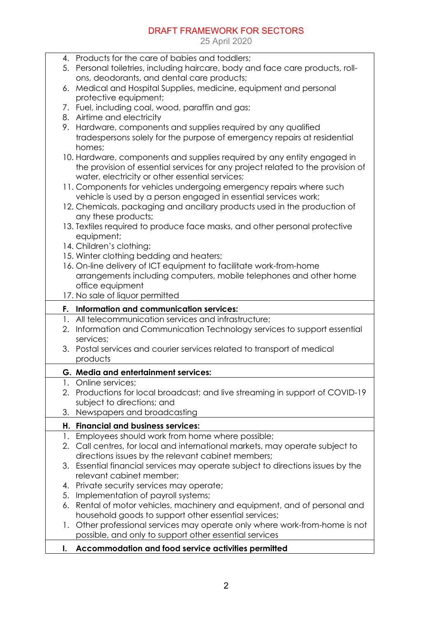25 April 2020

| 4. Products for the care of babies and toddlers;                                   |
|------------------------------------------------------------------------------------|
| 5. Personal toiletries, including haircare, body and face care products, roll-     |
| ons, deodorants, and dental care products;                                         |
| 6. Medical and Hospital Supplies, medicine, equipment and personal                 |
| protective equipment;                                                              |
| 7. Fuel, including coal, wood, paraffin and gas;                                   |
| 8. Airtime and electricity                                                         |
| 9. Hardware, components and supplies required by any qualified                     |
| tradespersons solely for the purpose of emergency repairs at residential           |
| homes;                                                                             |
| 10. Hardware, components and supplies required by any entity engaged in            |
| the provision of essential services for any project related to the provision of    |
| water, electricity or other essential services;                                    |
| 11. Components for vehicles undergoing emergency repairs where such                |
| vehicle is used by a person engaged in essential services work;                    |
| 12. Chemicals, packaging and ancillary products used in the production of          |
| any these products;                                                                |
| 13. Textiles required to produce face masks, and other personal protective         |
| equipment;                                                                         |
| 14. Children's clothing;                                                           |
| 15. Winter clothing bedding and heaters;                                           |
| 16. On-line delivery of ICT equipment to facilitate work-from-home                 |
| arrangements including computers, mobile telephones and other home                 |
| office equipment                                                                   |
| 17. No sale of liquor permitted                                                    |
| F. Information and communication services:                                         |
| 1. All telecommunication services and infrastructure;                              |
| Information and Communication Technology services to support essential<br>2.       |
| services;                                                                          |
| 3. Postal services and courier services related to transport of medical            |
| products                                                                           |
|                                                                                    |
| G. Media and entertainment services:                                               |
| Online services;                                                                   |
| 2. Productions for local broadcast; and live streaming in support of COVID-19      |
| subject to directions; and                                                         |
| Newspapers and broadcasting<br>3.                                                  |
| H. Financial and business services:                                                |
| Employees should work from home where possible;<br>1.                              |
| Call centres, for local and international markets, may operate subject to<br>2.    |
| directions issues by the relevant cabinet members;                                 |
| Essential financial services may operate subject to directions issues by the<br>3. |
| relevant cabinet member;                                                           |
| Private security services may operate;<br>4.                                       |
| Implementation of payroll systems;<br>5.                                           |
| Rental of motor vehicles, machinery and equipment, and of personal and<br>6.       |
| household goods to support other essential services;                               |
|                                                                                    |
| Other professional services may operate only where work-from-home is not<br>1.     |
| possible, and only to support other essential services                             |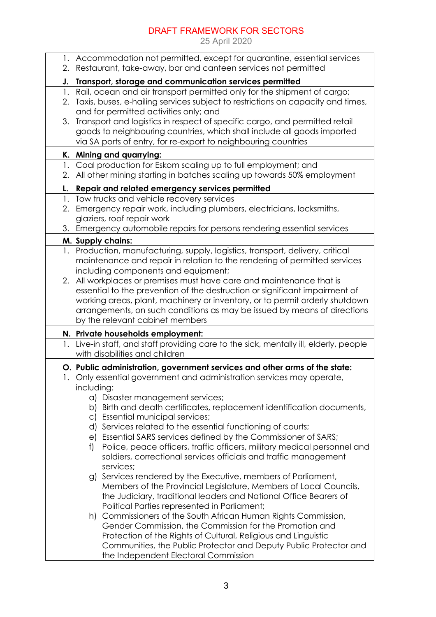|    | 1. Accommodation not permitted, except for quarantine, essential services                                                                         |
|----|---------------------------------------------------------------------------------------------------------------------------------------------------|
|    | 2. Restaurant, take-away, bar and canteen services not permitted                                                                                  |
| J. | Transport, storage and communication services permitted                                                                                           |
|    | 1. Rail, ocean and air transport permitted only for the shipment of cargo;                                                                        |
| 2. | Taxis, buses, e-hailing services subject to restrictions on capacity and times,<br>and for permitted activities only; and                         |
| 3. | Transport and logistics in respect of specific cargo, and permitted retail                                                                        |
|    | goods to neighbouring countries, which shall include all goods imported                                                                           |
|    | via SA ports of entry, for re-export to neighbouring countries                                                                                    |
|    | K. Mining and quarrying:                                                                                                                          |
|    | 1. Coal production for Eskom scaling up to full employment; and                                                                                   |
| 2. | All other mining starting in batches scaling up towards 50% employment                                                                            |
| L. | Repair and related emergency services permitted                                                                                                   |
|    | 1. Tow trucks and vehicle recovery services                                                                                                       |
| 2. | Emergency repair work, including plumbers, electricians, locksmiths,                                                                              |
|    | glaziers, roof repair work                                                                                                                        |
|    | 3. Emergency automobile repairs for persons rendering essential services                                                                          |
|    | M. Supply chains:                                                                                                                                 |
| 1. | Production, manufacturing, supply, logistics, transport, delivery, critical                                                                       |
|    | maintenance and repair in relation to the rendering of permitted services                                                                         |
| 2. | including components and equipment;                                                                                                               |
|    | All workplaces or premises must have care and maintenance that is<br>essential to the prevention of the destruction or significant impairment of  |
|    | working areas, plant, machinery or inventory, or to permit orderly shutdown                                                                       |
|    | arrangements, on such conditions as may be issued by means of directions                                                                          |
|    | by the relevant cabinet members                                                                                                                   |
|    | N. Private households employment:                                                                                                                 |
|    | 1. Live-in staff, and staff providing care to the sick, mentally ill, elderly, people                                                             |
|    | with disabilities and children                                                                                                                    |
|    | O. Public administration, government services and other arms of the state:                                                                        |
|    | 1. Only essential government and administration services may operate,                                                                             |
|    | including:                                                                                                                                        |
|    | a) Disaster management services;                                                                                                                  |
|    | b) Birth and death certificates, replacement identification documents,                                                                            |
|    | c) Essential municipal services;                                                                                                                  |
|    | d) Services related to the essential functioning of courts;                                                                                       |
|    | e) Essential SARS services defined by the Commissioner of SARS;                                                                                   |
|    | Police, peace officers, traffic officers, military medical personnel and<br>f<br>soldiers, correctional services officials and traffic management |
|    | services;                                                                                                                                         |
|    | g) Services rendered by the Executive, members of Parliament,                                                                                     |
|    | Members of the Provincial Legislature, Members of Local Councils,                                                                                 |
|    | the Judiciary, traditional leaders and National Office Bearers of                                                                                 |
|    | Political Parties represented in Parliament;                                                                                                      |
|    | h) Commissioners of the South African Human Rights Commission,                                                                                    |
|    | Gender Commission, the Commission for the Promotion and                                                                                           |
|    | Protection of the Rights of Cultural, Religious and Linguistic                                                                                    |
|    |                                                                                                                                                   |
|    | Communities, the Public Protector and Deputy Public Protector and                                                                                 |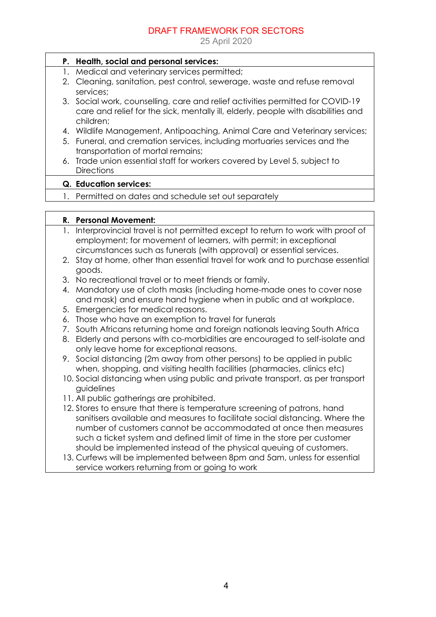|    | P. Health, social and personal services:                                          |
|----|-----------------------------------------------------------------------------------|
| 1. | Medical and veterinary services permitted;                                        |
|    | 2. Cleaning, sanitation, pest control, sewerage, waste and refuse removal         |
|    | services:                                                                         |
| 3. | Social work, counselling, care and relief activities permitted for COVID-19       |
|    | care and relief for the sick, mentally ill, elderly, people with disabilities and |
|    | children;                                                                         |
|    | 4. Wildlife Management, Antipoaching, Animal Care and Veterinary services;        |
| 5. | Funeral, and cremation services, including mortuaries services and the            |
|    | transportation of mortal remains;                                                 |
| 6. | Trade union essential staff for workers covered by Level 5, subject to            |
|    | <b>Directions</b>                                                                 |
|    | <b>Q.</b> Education services:                                                     |
|    | 1. Permitted on dates and schedule set out separately                             |
|    |                                                                                   |
|    |                                                                                   |
|    | R. Personal Movement:                                                             |
| 1. | Interprovincial travel is not permitted except to return to work with proof of    |
|    | employment; for movement of learners, with permit; in exceptional                 |
|    | circumstances such as funerals (with approval) or essential services.             |
| 2. | Stay at home, other than essential travel for work and to purchase essential      |
|    | goods.                                                                            |
| 3. | No recreational travel or to meet friends or family.                              |
| 4. | Mandatory use of cloth masks (including home-made ones to cover nose              |
|    | and mask) and ensure hand hygiene when in public and at workplace.                |
| 5. | Emergencies for medical reasons.                                                  |
| 6. | Those who have an exemption to travel for funerals                                |
| 7. | South Africans returning home and foreign nationals leaving South Africa          |
| 8. | Elderly and persons with co-morbidities are encouraged to self-isolate and        |
|    | only leave home for exceptional reasons.                                          |
|    | 9. Social distancing (2m away from other persons) to be applied in public         |
|    | when, shopping, and visiting health facilities (pharmacies, clinics etc)          |
|    | 10. Social distancing when using public and private transport, as per transport   |
|    | guidelines                                                                        |
|    | 11. All public gatherings are prohibited.                                         |
|    | 12. Stores to ensure that there is temperature screening of patrons, hand         |
|    | sanitisers available and measures to facilitate social distancing. Where the      |
|    | number of customers cannot be accommodated at once then measures                  |
|    | such a ticket system and defined limit of time in the store per customer          |
|    | should be implemented instead of the physical queuing of customers.               |
|    | 13. Curfews will be implemented between 8pm and 5am, unless for essential         |
|    | service workers returning from or going to work                                   |
|    |                                                                                   |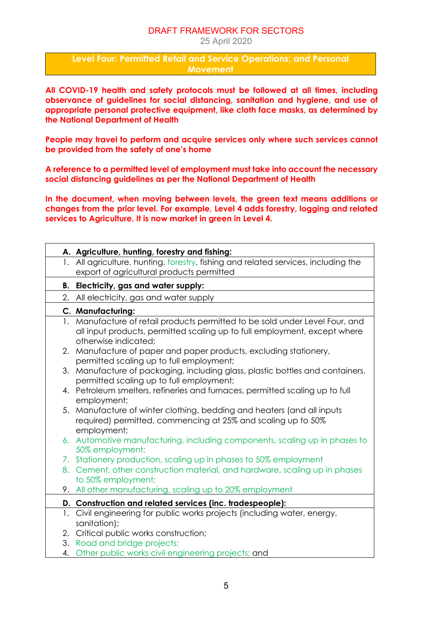25 April 2020

**Level Four: Permitted Retail and Service Operations; and Personal Movement**

**All COVID-19 health and safety protocols must be followed at all times, including observance of guidelines for social distancing, sanitation and hygiene, and use of appropriate personal protective equipment, like cloth face masks, as determined by the National Department of Health**

**People may travel to perform and acquire services only where such services cannot be provided from the safety of one's home**

**A reference to a permitted level of employment must take into account the necessary social distancing guidelines as per the National Department of Health**

**In the document, when moving between levels, the green text means additions or changes from the prior level. For example, Level 4 adds forestry, logging and related services to Agriculture. It is now market in green in Level 4.** 

|    | A. Agriculture, hunting, forestry and fishing:                                                                            |
|----|---------------------------------------------------------------------------------------------------------------------------|
|    | 1. All agriculture, hunting, forestry, fishing and related services, including the                                        |
|    | export of agricultural products permitted                                                                                 |
| В. | Electricity, gas and water supply:                                                                                        |
|    | 2. All electricity, gas and water supply                                                                                  |
|    | C. Manufacturing:                                                                                                         |
|    | 1. Manufacture of retail products permitted to be sold under Level Four, and                                              |
|    | all input products, permitted scaling up to full employment, except where<br>otherwise indicated;                         |
|    | 2. Manufacture of paper and paper products, excluding stationery,                                                         |
|    | permitted scaling up to full employment;                                                                                  |
|    | 3. Manufacture of packaging, including glass, plastic bottles and containers,<br>permitted scaling up to full employment; |
|    | 4. Petroleum smelters, refineries and furnaces, permitted scaling up to full                                              |
|    | employment;                                                                                                               |
| 5. | Manufacture of winter clothing, bedding and heaters (and all inputs                                                       |
|    | required) permitted, commencing at 25% and scaling up to 50%                                                              |
|    | employment;                                                                                                               |
|    | 6. Automotive manufacturing, including components, scaling up in phases to                                                |
|    | 50% employment;<br>7. Stationery production, scaling up in phases to 50% employment                                       |
|    | 8. Cement, other construction material, and hardware, scaling up in phases                                                |
|    | to 50% employment;                                                                                                        |
|    | 9. All other manufacturing, scaling up to 20% employment                                                                  |
|    | D. Construction and related services (inc. tradespeople):                                                                 |
|    | 1. Civil engineering for public works projects (including water, energy,                                                  |
|    | sanitation);                                                                                                              |
|    | 2. Critical public works construction;                                                                                    |
| 3. | Road and bridge projects;                                                                                                 |
|    | 4. Other public works civil engineering projects; and                                                                     |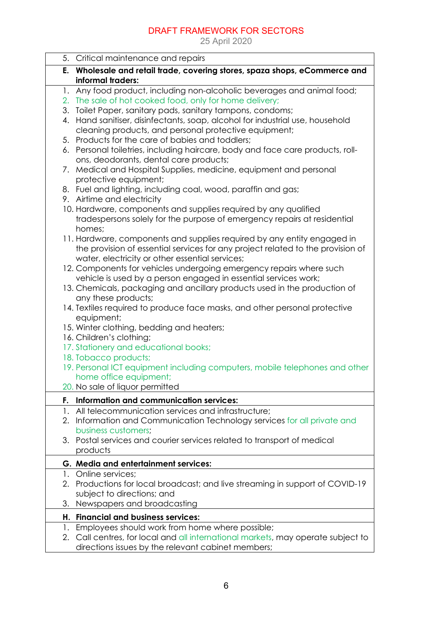|    | 5. Critical maintenance and repairs                                                                                                      |
|----|------------------------------------------------------------------------------------------------------------------------------------------|
|    | E. Wholesale and retail trade, covering stores, spaza shops, eCommerce and                                                               |
|    | informal traders:                                                                                                                        |
|    | 1. Any food product, including non-alcoholic beverages and animal food;                                                                  |
|    | 2. The sale of hot cooked food, only for home delivery;                                                                                  |
| 4. | 3. Toilet Paper, sanitary pads, sanitary tampons, condoms;<br>Hand sanitiser, disinfectants, soap, alcohol for industrial use, household |
|    | cleaning products, and personal protective equipment;                                                                                    |
|    | 5. Products for the care of babies and toddlers;                                                                                         |
|    | 6. Personal toiletries, including haircare, body and face care products, roll-                                                           |
|    | ons, deodorants, dental care products;                                                                                                   |
| 7. | Medical and Hospital Supplies, medicine, equipment and personal                                                                          |
|    | protective equipment;                                                                                                                    |
|    | 8. Fuel and lighting, including coal, wood, paraffin and gas;                                                                            |
|    | 9. Airtime and electricity                                                                                                               |
|    | 10. Hardware, components and supplies required by any qualified                                                                          |
|    | tradespersons solely for the purpose of emergency repairs at residential                                                                 |
|    | homes;<br>11. Hardware, components and supplies required by any entity engaged in                                                        |
|    | the provision of essential services for any project related to the provision of                                                          |
|    | water, electricity or other essential services;                                                                                          |
|    | 12. Components for vehicles undergoing emergency repairs where such                                                                      |
|    | vehicle is used by a person engaged in essential services work;                                                                          |
|    | 13. Chemicals, packaging and ancillary products used in the production of                                                                |
|    | any these products;                                                                                                                      |
|    | 14. Textiles required to produce face masks, and other personal protective<br>equipment;                                                 |
|    | 15. Winter clothing, bedding and heaters;                                                                                                |
|    | 16. Children's clothing;                                                                                                                 |
|    | 17. Stationery and educational books;                                                                                                    |
|    | 18. Tobacco products;                                                                                                                    |
|    | 19. Personal ICT equipment including computers, mobile telephones and other                                                              |
|    | home office equipment;                                                                                                                   |
|    | 20. No sale of liquor permitted                                                                                                          |
| F. | Information and communication services:                                                                                                  |
| 1. | All telecommunication services and infrastructure;                                                                                       |
| 2. | Information and Communication Technology services for all private and<br>business customers;                                             |
| 3. | Postal services and courier services related to transport of medical                                                                     |
|    | products                                                                                                                                 |
|    | G. Media and entertainment services:                                                                                                     |
| 1. | Online services;                                                                                                                         |
| 2. | Productions for local broadcast; and live streaming in support of COVID-19                                                               |
|    | subject to directions; and                                                                                                               |
| 3. | Newspapers and broadcasting                                                                                                              |
| Н. | <b>Financial and business services:</b>                                                                                                  |
| 1. | Employees should work from home where possible;                                                                                          |
| 2. | Call centres, for local and all international markets, may operate subject to                                                            |
|    | directions issues by the relevant cabinet members;                                                                                       |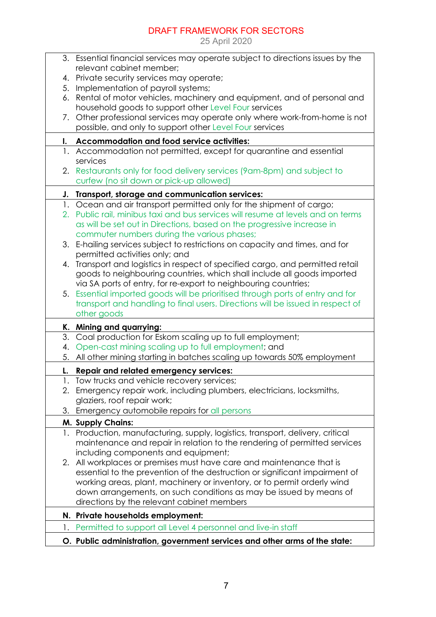|    | 3. Essential financial services may operate subject to directions issues by the                                                        |
|----|----------------------------------------------------------------------------------------------------------------------------------------|
|    | relevant cabinet member;                                                                                                               |
| 4. | Private security services may operate;                                                                                                 |
| 5. | Implementation of payroll systems;                                                                                                     |
| 6. | Rental of motor vehicles, machinery and equipment, and of personal and<br>household goods to support other Level Four services         |
|    | 7. Other professional services may operate only where work-from-home is not<br>possible, and only to support other Level Four services |
|    |                                                                                                                                        |
| I. | Accommodation and food service activities:                                                                                             |
|    | 1. Accommodation not permitted, except for quarantine and essential<br>services                                                        |
|    | 2. Restaurants only for food delivery services (9am-8pm) and subject to<br>curfew (no sit down or pick-up allowed)                     |
| J. | Transport, storage and communication services:                                                                                         |
|    | 1. Ocean and air transport permitted only for the shipment of cargo;                                                                   |
|    | 2. Public rail, minibus taxi and bus services will resume at levels and on terms                                                       |
|    | as will be set out in Directions, based on the progressive increase in                                                                 |
|    | commuter numbers during the various phases;                                                                                            |
| 3. | E-hailing services subject to restrictions on capacity and times, and for                                                              |
|    | permitted activities only; and                                                                                                         |
| 4. | Transport and logistics in respect of specified cargo, and permitted retail                                                            |
|    | goods to neighbouring countries, which shall include all goods imported                                                                |
|    | via SA ports of entry, for re-export to neighbouring countries;                                                                        |
|    | 5. Essential imported goods will be prioritised through ports of entry and for                                                         |
|    | transport and handling to final users. Directions will be issued in respect of                                                         |
|    | other goods                                                                                                                            |
|    | K. Mining and quarrying:                                                                                                               |
| 3. | Coal production for Eskom scaling up to full employment;                                                                               |
| 4. | Open-cast mining scaling up to full employment; and                                                                                    |
| 5. | All other mining starting in batches scaling up towards 50% employment                                                                 |
| L. |                                                                                                                                        |
| 1. | Repair and related emergency services:<br>Tow trucks and vehicle recovery services;                                                    |
|    | 2. Emergency repair work, including plumbers, electricians, locksmiths,                                                                |
|    | glaziers, roof repair work;                                                                                                            |
| 3. | Emergency automobile repairs for all persons                                                                                           |
|    | M. Supply Chains:                                                                                                                      |
| 1. | Production, manufacturing, supply, logistics, transport, delivery, critical                                                            |
|    | maintenance and repair in relation to the rendering of permitted services                                                              |
|    | including components and equipment;                                                                                                    |
| 2. | All workplaces or premises must have care and maintenance that is                                                                      |
|    | essential to the prevention of the destruction or significant impairment of                                                            |
|    | working areas, plant, machinery or inventory, or to permit orderly wind                                                                |
|    | down arrangements, on such conditions as may be issued by means of                                                                     |
|    | directions by the relevant cabinet members                                                                                             |
|    | N. Private households employment:                                                                                                      |
| 1. | Permitted to support all Level 4 personnel and live-in staff                                                                           |
|    | O. Public administration, government services and other arms of the state:                                                             |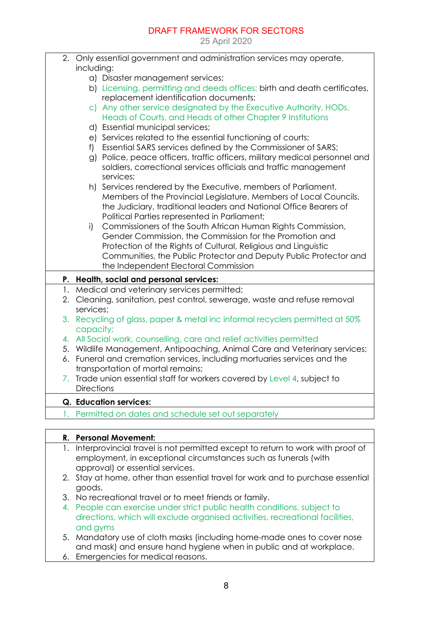25 April 2020

|    | 2. Only essential government and administration services may operate,        |
|----|------------------------------------------------------------------------------|
|    | including:                                                                   |
|    | a) Disaster management services;                                             |
|    | b) Licensing, permitting and deeds offices; birth and death certificates,    |
|    | replacement identification documents;                                        |
|    | c) Any other service designated by the Executive Authority, HODs,            |
|    | Heads of Courts, and Heads of other Chapter 9 Institutions                   |
|    | d) Essential municipal services;                                             |
|    | e) Services related to the essential functioning of courts;                  |
|    | f) Essential SARS services defined by the Commissioner of SARS;              |
|    | g) Police, peace officers, traffic officers, military medical personnel and  |
|    | soldiers, correctional services officials and traffic management             |
|    | services;                                                                    |
|    | h) Services rendered by the Executive, members of Parliament,                |
|    | Members of the Provincial Legislature, Members of Local Councils,            |
|    | the Judiciary, traditional leaders and National Office Bearers of            |
|    | Political Parties represented in Parliament;                                 |
|    | Commissioners of the South African Human Rights Commission,<br>i)            |
|    | Gender Commission, the Commission for the Promotion and                      |
|    | Protection of the Rights of Cultural, Religious and Linguistic               |
|    | Communities, the Public Protector and Deputy Public Protector and            |
|    | the Independent Electoral Commission                                         |
|    | P. Health, social and personal services:                                     |
|    | 1. Medical and veterinary services permitted;                                |
|    | 2. Cleaning, sanitation, pest control, sewerage, waste and refuse removal    |
|    | services;                                                                    |
|    | 3. Recycling of glass, paper & metal inc informal recyclers permitted at 50% |
|    | capacity;                                                                    |
|    | 4. All Social work, counselling, care and relief activities permitted        |
|    | 5. Wildlife Management, Antipoaching, Animal Care and Veterinary services;   |
|    | 6. Funeral and cremation services, including mortuaries services and the     |
|    | transportation of mortal remains;                                            |
|    | 7. Trade union essential staff for workers covered by Level 4, subject to    |
|    | <b>Directions</b>                                                            |
|    | Q. Education services:                                                       |
| 1. | Permitted on dates and schedule set out separately                           |
|    |                                                                              |

|  | R. Personal Movement:                                                                                                                                                                 |
|--|---------------------------------------------------------------------------------------------------------------------------------------------------------------------------------------|
|  | Interprovincial travel is not permitted except to return to work with proof of<br>employment, in exceptional circumstances such as funerals (with<br>approval) or essential services. |
|  | 2. Stay at home, other than essential travel for work and to purchase essential<br>goods.                                                                                             |
|  | 3. No recreational travel or to meet friends or family.                                                                                                                               |
|  | 4. People can exercise under strict public health conditions, subject to<br>directions, which will exclude organised activities, recreational facilities,<br>and gyms                 |
|  | $\epsilon$ becomes the set of delay marked including hame made and the cover ness                                                                                                     |

5. Mandatory use of cloth masks (including home-made ones to cover nose and mask) and ensure hand hygiene when in public and at workplace.

6. Emergencies for medical reasons.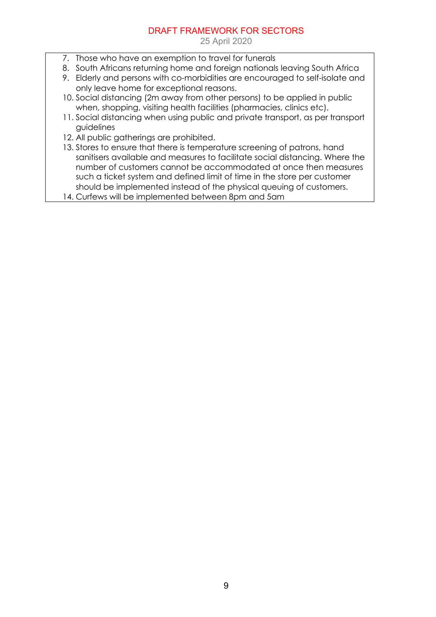- 7. Those who have an exemption to travel for funerals
- 8. South Africans returning home and foreign nationals leaving South Africa
- 9. Elderly and persons with co-morbidities are encouraged to self-isolate and only leave home for exceptional reasons.
- 10. Social distancing (2m away from other persons) to be applied in public when, shopping, visiting health facilities (pharmacies, clinics etc),
- 11. Social distancing when using public and private transport, as per transport guidelines
- 12. All public gatherings are prohibited.
- 13. Stores to ensure that there is temperature screening of patrons, hand sanitisers available and measures to facilitate social distancing. Where the number of customers cannot be accommodated at once then measures such a ticket system and defined limit of time in the store per customer should be implemented instead of the physical queuing of customers.
- 14. Curfews will be implemented between 8pm and 5am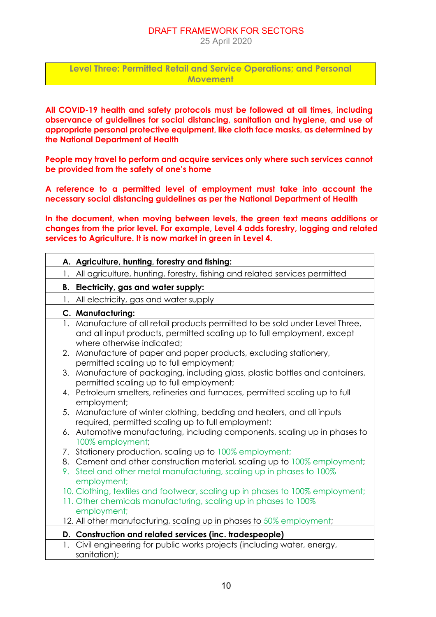#### DRAFT FRAMEWORK FOR SECTORS 25 April 2020

**Level Three: Permitted Retail and Service Operations; and Personal Movement**

**All COVID-19 health and safety protocols must be followed at all times, including observance of guidelines for social distancing, sanitation and hygiene, and use of appropriate personal protective equipment, like cloth face masks, as determined by the National Department of Health**

**People may travel to perform and acquire services only where such services cannot be provided from the safety of one's home**

**A reference to a permitted level of employment must take into account the necessary social distancing guidelines as per the National Department of Health**

**In the document, when moving between levels, the green text means additions or changes from the prior level. For example, Level 4 adds forestry, logging and related services to Agriculture. It is now market in green in Level 4.** 

| A. Agriculture, hunting, forestry and fishing:                                                                                                                                         |
|----------------------------------------------------------------------------------------------------------------------------------------------------------------------------------------|
| All agriculture, hunting, forestry, fishing and related services permitted<br>1.                                                                                                       |
| B. Electricity, gas and water supply:                                                                                                                                                  |
| All electricity, gas and water supply<br>1.                                                                                                                                            |
| C. Manufacturing:                                                                                                                                                                      |
| 1. Manufacture of all retail products permitted to be sold under Level Three,<br>and all input products, permitted scaling up to full employment, except<br>where otherwise indicated; |
| 2. Manufacture of paper and paper products, excluding stationery,<br>permitted scaling up to full employment;                                                                          |
| 3. Manufacture of packaging, including glass, plastic bottles and containers,<br>permitted scaling up to full employment;                                                              |
| 4. Petroleum smelters, refineries and furnaces, permitted scaling up to full<br>employment;                                                                                            |
| 5. Manufacture of winter clothing, bedding and heaters, and all inputs<br>required, permitted scaling up to full employment;                                                           |
| 6. Automotive manufacturing, including components, scaling up in phases to<br>100% employment;                                                                                         |
| 7. Stationery production, scaling up to 100% employment;                                                                                                                               |
| 8. Cement and other construction material, scaling up to 100% employment;<br>9. Steel and other metal manufacturing, scaling up in phases to 100%<br>employment;                       |
| 10. Clothing, textiles and footwear, scaling up in phases to 100% employment;                                                                                                          |
| 11. Other chemicals manufacturing, scaling up in phases to 100%<br>employment;                                                                                                         |
| 12. All other manufacturing, scaling up in phases to 50% employment;                                                                                                                   |
| D. Construction and related services (inc. tradespeople)                                                                                                                               |
| Civil engineering for public works projects (including water, energy,<br>1.<br>sanitation);                                                                                            |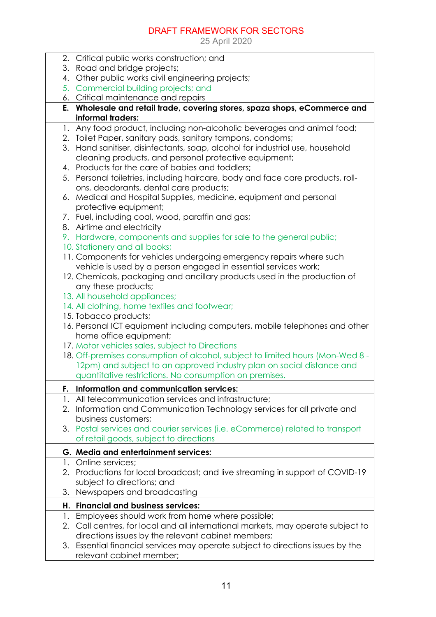|    |    | 2. Critical public works construction; and                                                    |
|----|----|-----------------------------------------------------------------------------------------------|
|    |    | 3. Road and bridge projects;                                                                  |
| 4. |    | Other public works civil engineering projects;                                                |
|    |    | 5. Commercial building projects; and                                                          |
|    |    | 6. Critical maintenance and repairs                                                           |
|    |    | E. Wholesale and retail trade, covering stores, spaza shops, eCommerce and                    |
|    |    | informal traders:                                                                             |
|    |    | 1. Any food product, including non-alcoholic beverages and animal food;                       |
|    |    | 2. Toilet Paper, sanitary pads, sanitary tampons, condoms;                                    |
|    | 3. | Hand sanitiser, disinfectants, soap, alcohol for industrial use, household                    |
|    |    | cleaning products, and personal protective equipment;                                         |
|    |    | 4. Products for the care of babies and toddlers;                                              |
|    |    | 5. Personal toiletries, including haircare, body and face care products, roll-                |
|    |    | ons, deodorants, dental care products;                                                        |
|    |    | 6. Medical and Hospital Supplies, medicine, equipment and personal                            |
|    |    | protective equipment;                                                                         |
|    |    | 7. Fuel, including coal, wood, paraffin and gas;                                              |
|    |    | 8. Airtime and electricity                                                                    |
|    |    | 9. Hardware, components and supplies for sale to the general public;                          |
|    |    | 10. Stationery and all books;                                                                 |
|    |    | 11. Components for vehicles undergoing emergency repairs where such                           |
|    |    | vehicle is used by a person engaged in essential services work;                               |
|    |    | 12. Chemicals, packaging and ancillary products used in the production of                     |
|    |    | any these products;<br>13. All household appliances;                                          |
|    |    | 14. All clothing, home textiles and footwear;                                                 |
|    |    | 15. Tobacco products;                                                                         |
|    |    | 16. Personal ICT equipment including computers, mobile telephones and other                   |
|    |    | home office equipment;                                                                        |
|    |    | 17. Motor vehicles sales, subject to Directions                                               |
|    |    | 18. Off-premises consumption of alcohol, subject to limited hours (Mon-Wed 8 -                |
|    |    | 12pm) and subject to an approved industry plan on social distance and                         |
|    |    | quantitative restrictions. No consumption on premises.                                        |
|    |    |                                                                                               |
| F. |    | Information and communication services:<br>All telecommunication services and infrastructure: |
| 1. |    |                                                                                               |
|    | 2. | Information and Communication Technology services for all private and<br>business customers;  |
|    |    | 3. Postal services and courier services (i.e. eCommerce) related to transport                 |
|    |    | of retail goods, subject to directions                                                        |
|    |    |                                                                                               |
|    |    | G. Media and entertainment services:                                                          |
|    |    | 1. Online services;                                                                           |
|    |    | 2. Productions for local broadcast; and live streaming in support of COVID-19                 |
|    |    | subject to directions; and                                                                    |
| 3. |    | Newspapers and broadcasting                                                                   |
|    |    | H. Financial and business services:                                                           |
|    | 1. | Employees should work from home where possible;                                               |
|    | 2. | Call centres, for local and all international markets, may operate subject to                 |
|    |    | directions issues by the relevant cabinet members;                                            |
| 3. |    | Essential financial services may operate subject to directions issues by the                  |
|    |    | relevant cabinet member;                                                                      |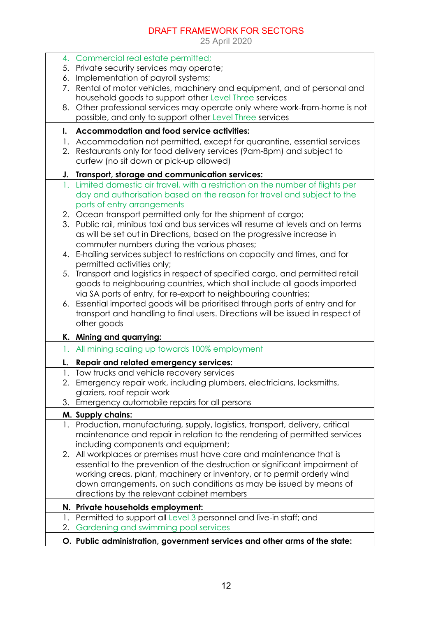|    | 4. Commercial real estate permitted;                                                                                                                                                      |
|----|-------------------------------------------------------------------------------------------------------------------------------------------------------------------------------------------|
|    | 5. Private security services may operate;                                                                                                                                                 |
| 6. | Implementation of payroll systems;                                                                                                                                                        |
| 7. | Rental of motor vehicles, machinery and equipment, and of personal and<br>household goods to support other Level Three services                                                           |
|    | 8. Other professional services may operate only where work-from-home is not                                                                                                               |
|    | possible, and only to support other Level Three services                                                                                                                                  |
| I. | <b>Accommodation and food service activities:</b>                                                                                                                                         |
|    | 1. Accommodation not permitted, except for quarantine, essential services                                                                                                                 |
|    | 2. Restaurants only for food delivery services (9am-8pm) and subject to<br>curfew (no sit down or pick-up allowed)                                                                        |
|    | J. Transport, storage and communication services:                                                                                                                                         |
|    | 1. Limited domestic air travel, with a restriction on the number of flights per<br>day and authorisation based on the reason for travel and subject to the<br>ports of entry arrangements |
|    | 2. Ocean transport permitted only for the shipment of cargo;                                                                                                                              |
|    | 3. Public rail, minibus taxi and bus services will resume at levels and on terms                                                                                                          |
|    | as will be set out in Directions, based on the progressive increase in                                                                                                                    |
|    | commuter numbers during the various phases;                                                                                                                                               |
| 4. | E-hailing services subject to restrictions on capacity and times, and for                                                                                                                 |
|    | permitted activities only;                                                                                                                                                                |
|    | 5. Transport and logistics in respect of specified cargo, and permitted retail                                                                                                            |
|    | goods to neighbouring countries, which shall include all goods imported                                                                                                                   |
|    | via SA ports of entry, for re-export to neighbouring countries;                                                                                                                           |
|    | 6. Essential imported goods will be prioritised through ports of entry and for                                                                                                            |
|    | transport and handling to final users. Directions will be issued in respect of<br>other goods                                                                                             |
|    | K. Mining and quarrying:                                                                                                                                                                  |
| 1. | All mining scaling up towards 100% employment                                                                                                                                             |
|    | Repair and related emergency services:                                                                                                                                                    |
|    | 1. Tow trucks and vehicle recovery services                                                                                                                                               |
| 2. | Emergency repair work, including plumbers, electricians, locksmiths,                                                                                                                      |
|    | glaziers, roof repair work                                                                                                                                                                |
|    | 3. Emergency automobile repairs for all persons                                                                                                                                           |
|    | M. Supply chains:                                                                                                                                                                         |
|    | 1. Production, manufacturing, supply, logistics, transport, delivery, critical                                                                                                            |
|    | maintenance and repair in relation to the rendering of permitted services                                                                                                                 |
|    | including components and equipment;                                                                                                                                                       |
|    | 2. All workplaces or premises must have care and maintenance that is                                                                                                                      |
|    | essential to the prevention of the destruction or significant impairment of                                                                                                               |
|    | working areas, plant, machinery or inventory, or to permit orderly wind                                                                                                                   |
|    | down arrangements, on such conditions as may be issued by means of                                                                                                                        |
|    | directions by the relevant cabinet members                                                                                                                                                |
|    | N. Private households employment:                                                                                                                                                         |
|    | 1. Permitted to support all Level 3 personnel and live-in staff; and                                                                                                                      |
| 2. | Gardening and swimming pool services                                                                                                                                                      |
|    | O. Public administration, government services and other arms of the state:                                                                                                                |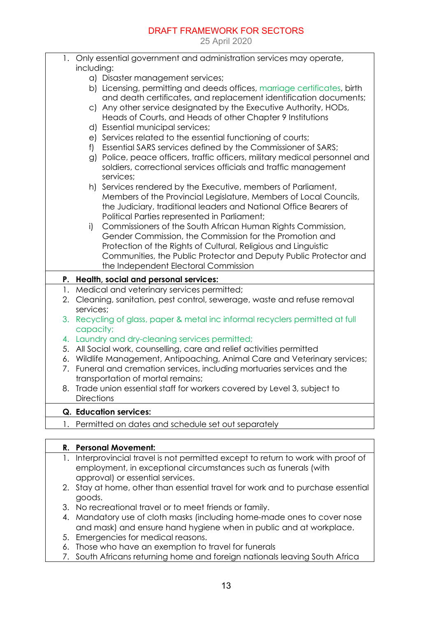|    | 1. Only essential government and administration services may operate,                                                                                                                                                                                   |
|----|---------------------------------------------------------------------------------------------------------------------------------------------------------------------------------------------------------------------------------------------------------|
|    | including:                                                                                                                                                                                                                                              |
|    | a) Disaster management services;                                                                                                                                                                                                                        |
|    | b) Licensing, permitting and deeds offices, marriage certificates, birth<br>and death certificates, and replacement identification documents;                                                                                                           |
|    | c) Any other service designated by the Executive Authority, HODs,<br>Heads of Courts, and Heads of other Chapter 9 Institutions                                                                                                                         |
|    | d) Essential municipal services;                                                                                                                                                                                                                        |
|    | e) Services related to the essential functioning of courts;                                                                                                                                                                                             |
|    | f) Essential SARS services defined by the Commissioner of SARS;                                                                                                                                                                                         |
|    | g) Police, peace officers, traffic officers, military medical personnel and<br>soldiers, correctional services officials and traffic management<br>services;                                                                                            |
|    | h) Services rendered by the Executive, members of Parliament,<br>Members of the Provincial Legislature, Members of Local Councils,<br>the Judiciary, traditional leaders and National Office Bearers of<br>Political Parties represented in Parliament; |
|    | Commissioners of the South African Human Rights Commission,<br>i)<br>Gender Commission, the Commission for the Promotion and                                                                                                                            |
|    | Protection of the Rights of Cultural, Religious and Linguistic<br>Communities, the Public Protector and Deputy Public Protector and<br>the Independent Electoral Commission                                                                             |
|    | P. Health, social and personal services:                                                                                                                                                                                                                |
|    | 1. Medical and veterinary services permitted;                                                                                                                                                                                                           |
| 2. | Cleaning, sanitation, pest control, sewerage, waste and refuse removal<br>services;                                                                                                                                                                     |
| 3. | Recycling of glass, paper & metal inc informal recyclers permitted at full<br>capacity;                                                                                                                                                                 |
|    | 4. Laundry and dry-cleaning services permitted;                                                                                                                                                                                                         |
|    | 5. All Social work, counselling, care and relief activities permitted                                                                                                                                                                                   |
|    | 6. Wildlife Management, Antipoaching, Animal Care and Veterinary services;                                                                                                                                                                              |
|    | 7. Funeral and cremation services, including mortuaries services and the<br>transportation of mortal remains;                                                                                                                                           |
| 8. | Trade union essential staff for workers covered by Level 3, subject to                                                                                                                                                                                  |
|    | <b>Directions</b>                                                                                                                                                                                                                                       |
|    | <b>Q. Education services:</b>                                                                                                                                                                                                                           |
| Ι. | Permitted on dates and schedule set out separately                                                                                                                                                                                                      |
|    |                                                                                                                                                                                                                                                         |
|    | R. Personal Movement:                                                                                                                                                                                                                                   |

- 1. Interprovincial travel is not permitted except to return to work with proof of employment, in exceptional circumstances such as funerals (with approval) or essential services.
- 2. Stay at home, other than essential travel for work and to purchase essential goods.
- 3. No recreational travel or to meet friends or family.
- 4. Mandatory use of cloth masks (including home-made ones to cover nose and mask) and ensure hand hygiene when in public and at workplace.
- 5. Emergencies for medical reasons.
- 6. Those who have an exemption to travel for funerals
- 7. South Africans returning home and foreign nationals leaving South Africa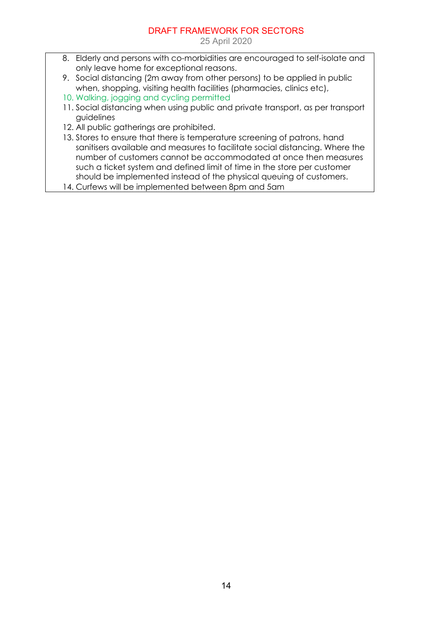- 8. Elderly and persons with co-morbidities are encouraged to self-isolate and only leave home for exceptional reasons.
- 9. Social distancing (2m away from other persons) to be applied in public when, shopping, visiting health facilities (pharmacies, clinics etc),
- 10. Walking, jogging and cycling permitted
- 11. Social distancing when using public and private transport, as per transport guidelines
- 12. All public gatherings are prohibited.
- 13. Stores to ensure that there is temperature screening of patrons, hand sanitisers available and measures to facilitate social distancing. Where the number of customers cannot be accommodated at once then measures such a ticket system and defined limit of time in the store per customer should be implemented instead of the physical queuing of customers.
- 14. Curfews will be implemented between 8pm and 5am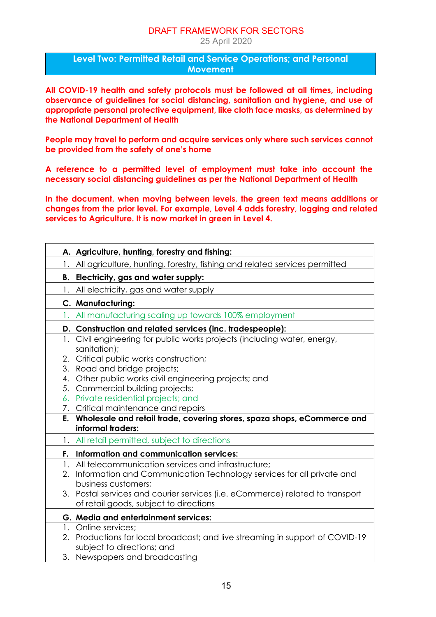25 April 2020

**Level Two: Permitted Retail and Service Operations; and Personal Movement**

**All COVID-19 health and safety protocols must be followed at all times, including observance of guidelines for social distancing, sanitation and hygiene, and use of appropriate personal protective equipment, like cloth face masks, as determined by the National Department of Health**

**People may travel to perform and acquire services only where such services cannot be provided from the safety of one's home**

**A reference to a permitted level of employment must take into account the necessary social distancing guidelines as per the National Department of Health**

**In the document, when moving between levels, the green text means additions or changes from the prior level. For example, Level 4 adds forestry, logging and related services to Agriculture. It is now market in green in Level 4.** 

|    | A. Agriculture, hunting, forestry and fishing:                                                                          |
|----|-------------------------------------------------------------------------------------------------------------------------|
| 1. | All agriculture, hunting, forestry, fishing and related services permitted                                              |
| В. | Electricity, gas and water supply:                                                                                      |
|    | 1. All electricity, gas and water supply                                                                                |
|    | C. Manufacturing:                                                                                                       |
|    | All manufacturing scaling up towards 100% employment                                                                    |
|    | D. Construction and related services (inc. tradespeople):                                                               |
|    | 1. Civil engineering for public works projects (including water, energy,<br>sanitation);                                |
|    | 2. Critical public works construction;                                                                                  |
|    | 3. Road and bridge projects;                                                                                            |
|    | 4. Other public works civil engineering projects; and                                                                   |
|    | 5. Commercial building projects;<br>6. Private residential projects; and                                                |
|    | 7. Critical maintenance and repairs                                                                                     |
|    | E. Wholesale and retail trade, covering stores, spaza shops, eCommerce and                                              |
|    | informal traders:                                                                                                       |
|    | 1. All retail permitted, subject to directions                                                                          |
| Е. | Information and communication services:                                                                                 |
|    | 1. All telecommunication services and infrastructure;                                                                   |
| 2. | Information and Communication Technology services for all private and                                                   |
|    | business customers;                                                                                                     |
|    | 3. Postal services and courier services (i.e. eCommerce) related to transport<br>of retail goods, subject to directions |
|    | G. Media and entertainment services:                                                                                    |
|    | 1. Online services;                                                                                                     |
|    | 2. Productions for local broadcast; and live streaming in support of COVID-19                                           |
|    | subject to directions; and                                                                                              |
|    | 3. Newspapers and broadcasting                                                                                          |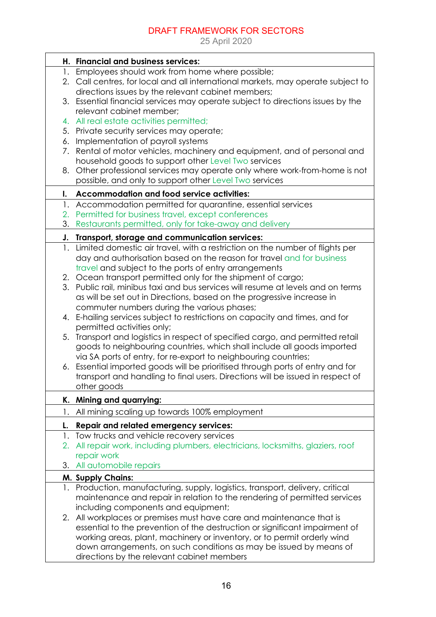|    | H. Financial and business services:                                              |
|----|----------------------------------------------------------------------------------|
|    | 1. Employees should work from home where possible;                               |
|    | 2. Call centres, for local and all international markets, may operate subject to |
|    | directions issues by the relevant cabinet members;                               |
| 3. | Essential financial services may operate subject to directions issues by the     |
|    | relevant cabinet member;                                                         |
| 4. | All real estate activities permitted;                                            |
|    |                                                                                  |
|    | 5. Private security services may operate;                                        |
| 6. | Implementation of payroll systems                                                |
| 7. | Rental of motor vehicles, machinery and equipment, and of personal and           |
|    | household goods to support other Level Two services                              |
| 8. | Other professional services may operate only where work-from-home is not         |
|    | possible, and only to support other Level Two services                           |
| I. | <b>Accommodation and food service activities:</b>                                |
| 1. | Accommodation permitted for quarantine, essential services                       |
| 2. | Permitted for business travel, except conferences                                |
| 3. | Restaurants permitted, only for take-away and delivery                           |
| J. | Transport, storage and communication services:                                   |
| 1. | Limited domestic air travel, with a restriction on the number of flights per     |
|    | day and authorisation based on the reason for travel and for business            |
|    | travel and subject to the ports of entry arrangements                            |
|    | 2. Ocean transport permitted only for the shipment of cargo;                     |
|    | 3. Public rail, minibus taxi and bus services will resume at levels and on terms |
|    |                                                                                  |
|    | as will be set out in Directions, based on the progressive increase in           |
|    | commuter numbers during the various phases;                                      |
|    | 4. E-hailing services subject to restrictions on capacity and times, and for     |
|    | permitted activities only;                                                       |
| 5. | Transport and logistics in respect of specified cargo, and permitted retail      |
|    | goods to neighbouring countries, which shall include all goods imported          |
|    | via SA ports of entry, for re-export to neighbouring countries;                  |
|    | 6. Essential imported goods will be prioritised through ports of entry and for   |
|    | transport and handling to final users. Directions will be issued in respect of   |
|    | other goods                                                                      |
|    | K. Mining and quarrying:                                                         |
| 1. | All mining scaling up towards 100% employment                                    |
| L. | Repair and related emergency services:                                           |
| 1. | Tow trucks and vehicle recovery services                                         |
| 2. | All repair work, including plumbers, electricians, locksmiths, glaziers, roof    |
|    | repair work                                                                      |
| 3. | All automobile repairs                                                           |
|    | M. Supply Chains:                                                                |
|    | 1. Production, manufacturing, supply, logistics, transport, delivery, critical   |
|    | maintenance and repair in relation to the rendering of permitted services        |
|    | including components and equipment;                                              |
| 2. | All workplaces or premises must have care and maintenance that is                |
|    | essential to the prevention of the destruction or significant impairment of      |
|    | working areas, plant, machinery or inventory, or to permit orderly wind          |
|    | down arrangements, on such conditions as may be issued by means of               |
|    | directions by the relevant cabinet members                                       |
|    |                                                                                  |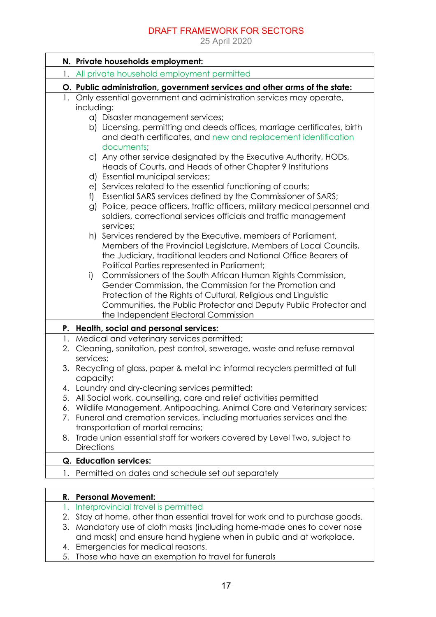25 April 2020

|    | N. Private households employment:                                                                                                                                                                                                                                                                           |
|----|-------------------------------------------------------------------------------------------------------------------------------------------------------------------------------------------------------------------------------------------------------------------------------------------------------------|
|    | All private household employment permitted                                                                                                                                                                                                                                                                  |
|    | O. Public administration, government services and other arms of the state:                                                                                                                                                                                                                                  |
|    | 1. Only essential government and administration services may operate,                                                                                                                                                                                                                                       |
|    | including:                                                                                                                                                                                                                                                                                                  |
|    | a) Disaster management services;                                                                                                                                                                                                                                                                            |
|    | b) Licensing, permitting and deeds offices, marriage certificates, birth<br>and death certificates, and new and replacement identification<br>documents;                                                                                                                                                    |
|    | c) Any other service designated by the Executive Authority, HODs,<br>Heads of Courts, and Heads of other Chapter 9 Institutions                                                                                                                                                                             |
|    | d) Essential municipal services;                                                                                                                                                                                                                                                                            |
|    | e) Services related to the essential functioning of courts;                                                                                                                                                                                                                                                 |
|    | Essential SARS services defined by the Commissioner of SARS;<br>f)<br>g) Police, peace officers, traffic officers, military medical personnel and<br>soldiers, correctional services officials and traffic management<br>services;                                                                          |
|    | h) Services rendered by the Executive, members of Parliament,<br>Members of the Provincial Legislature, Members of Local Councils,<br>the Judiciary, traditional leaders and National Office Bearers of<br>Political Parties represented in Parliament;                                                     |
|    | Commissioners of the South African Human Rights Commission,<br>i)<br>Gender Commission, the Commission for the Promotion and<br>Protection of the Rights of Cultural, Religious and Linguistic<br>Communities, the Public Protector and Deputy Public Protector and<br>the Independent Electoral Commission |
|    | P. Health, social and personal services:                                                                                                                                                                                                                                                                    |
|    | 1. Medical and veterinary services permitted;                                                                                                                                                                                                                                                               |
|    | 2. Cleaning, sanitation, pest control, sewerage, waste and refuse removal<br>services;                                                                                                                                                                                                                      |
| 3. | Recycling of glass, paper & metal inc informal recyclers permitted at full<br>capacity;                                                                                                                                                                                                                     |
|    | 4. Laundry and dry-cleaning services permitted;                                                                                                                                                                                                                                                             |
| 5. | All Social work, counselling, care and relief activities permitted                                                                                                                                                                                                                                          |
| 6. | Wildlife Management, Antipoaching, Animal Care and Veterinary services;                                                                                                                                                                                                                                     |
| 7. | Funeral and cremation services, including mortuaries services and the                                                                                                                                                                                                                                       |
|    | transportation of mortal remains;                                                                                                                                                                                                                                                                           |
| 8. | Trade union essential staff for workers covered by Level Two, subject to<br><b>Directions</b>                                                                                                                                                                                                               |
|    | <b>Q.</b> Education services:                                                                                                                                                                                                                                                                               |
|    | Permitted on dates and schedule set out separately                                                                                                                                                                                                                                                          |
|    |                                                                                                                                                                                                                                                                                                             |

## **R. Personal Movement:**

- 1. Interprovincial travel is permitted
- 2. Stay at home, other than essential travel for work and to purchase goods.
- 3. Mandatory use of cloth masks (including home-made ones to cover nose and mask) and ensure hand hygiene when in public and at workplace.
- 4. Emergencies for medical reasons.
- 5. Those who have an exemption to travel for funerals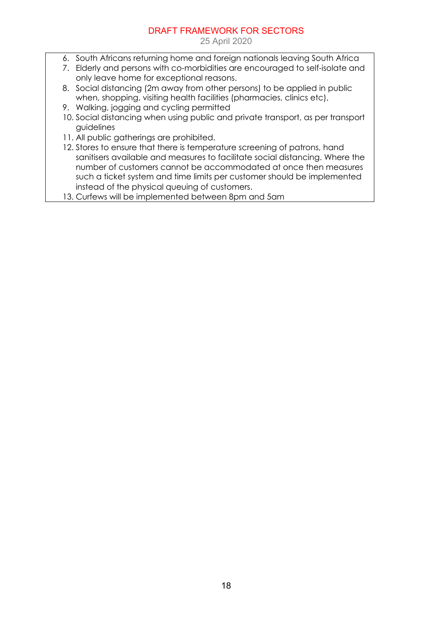- 6. South Africans returning home and foreign nationals leaving South Africa
- 7. Elderly and persons with co-morbidities are encouraged to self-isolate and only leave home for exceptional reasons.
- 8. Social distancing (2m away from other persons) to be applied in public when, shopping, visiting health facilities (pharmacies, clinics etc),
- 9. Walking, jogging and cycling permitted
- 10. Social distancing when using public and private transport, as per transport guidelines
- 11. All public gatherings are prohibited.
- 12. Stores to ensure that there is temperature screening of patrons, hand sanitisers available and measures to facilitate social distancing. Where the number of customers cannot be accommodated at once then measures such a ticket system and time limits per customer should be implemented instead of the physical queuing of customers.
- 13. Curfews will be implemented between 8pm and 5am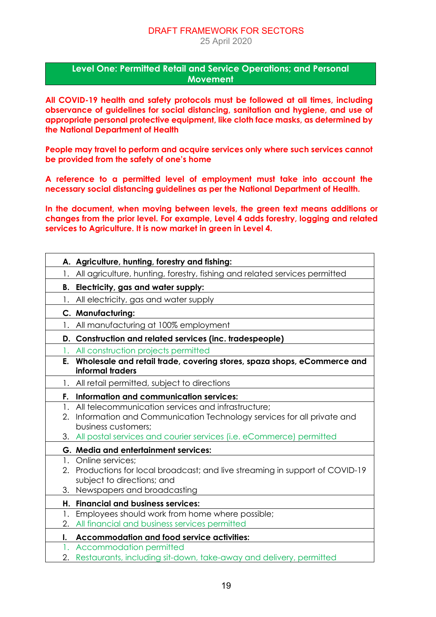25 April 2020

#### **Level One: Permitted Retail and Service Operations; and Personal Movement**

**All COVID-19 health and safety protocols must be followed at all times, including observance of guidelines for social distancing, sanitation and hygiene, and use of appropriate personal protective equipment, like cloth face masks, as determined by the National Department of Health**

**People may travel to perform and acquire services only where such services cannot be provided from the safety of one's home**

**A reference to a permitted level of employment must take into account the necessary social distancing guidelines as per the National Department of Health.**

**In the document, when moving between levels, the green text means additions or changes from the prior level. For example, Level 4 adds forestry, logging and related services to Agriculture. It is now market in green in Level 4.** 

|          | A. Agriculture, hunting, forestry and fishing:                                                                                                                                                                               |
|----------|------------------------------------------------------------------------------------------------------------------------------------------------------------------------------------------------------------------------------|
| 1.       | All agriculture, hunting, forestry, fishing and related services permitted                                                                                                                                                   |
| В.       | Electricity, gas and water supply:                                                                                                                                                                                           |
| 1.       | All electricity, gas and water supply                                                                                                                                                                                        |
|          | C. Manufacturing:                                                                                                                                                                                                            |
| 1.       | All manufacturing at 100% employment                                                                                                                                                                                         |
|          | D. Construction and related services (inc. tradespeople)                                                                                                                                                                     |
|          | 1. All construction projects permitted                                                                                                                                                                                       |
|          | E. Wholesale and retail trade, covering stores, spaza shops, eCommerce and<br>informal traders                                                                                                                               |
|          | 1. All retail permitted, subject to directions                                                                                                                                                                               |
|          | F. Information and communication services:                                                                                                                                                                                   |
| 1.<br>2. | All telecommunication services and infrastructure;<br>Information and Communication Technology services for all private and<br>business customers;<br>3. All postal services and courier services (i.e. eCommerce) permitted |
|          | G. Media and entertainment services:                                                                                                                                                                                         |
| 3.       | 1. Online services;<br>2. Productions for local broadcast; and live streaming in support of COVID-19<br>subject to directions; and<br>Newspapers and broadcasting                                                            |
|          | H. Financial and business services:                                                                                                                                                                                          |
| 1.<br>2. | Employees should work from home where possible;<br>All financial and business services permitted                                                                                                                             |
| I.       | <b>Accommodation and food service activities:</b>                                                                                                                                                                            |
| 1.<br>2. | Accommodation permitted<br>Restaurants, including sit-down, take-away and delivery, permitted                                                                                                                                |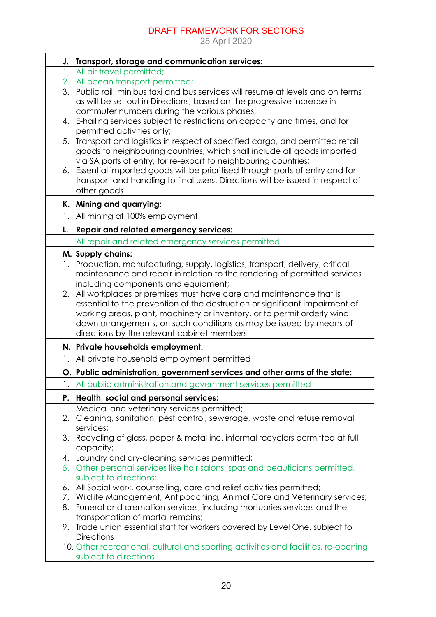|    | J. Transport, storage and communication services:                                                |
|----|--------------------------------------------------------------------------------------------------|
|    | 1. All air travel permitted;                                                                     |
|    | 2. All ocean transport permitted;                                                                |
|    | 3. Public rail, minibus taxi and bus services will resume at levels and on terms                 |
|    | as will be set out in Directions, based on the progressive increase in                           |
|    | commuter numbers during the various phases;                                                      |
|    | 4. E-hailing services subject to restrictions on capacity and times, and for                     |
|    | permitted activities only;                                                                       |
| 5. | Transport and logistics in respect of specified cargo, and permitted retail                      |
|    | goods to neighbouring countries, which shall include all goods imported                          |
|    | via SA ports of entry, for re-export to neighbouring countries;                                  |
|    | 6. Essential imported goods will be prioritised through ports of entry and for                   |
|    | transport and handling to final users. Directions will be issued in respect of                   |
|    | other goods                                                                                      |
|    | K. Mining and quarrying:                                                                         |
| 1. | All mining at 100% employment                                                                    |
| L. | Repair and related emergency services:                                                           |
|    | All repair and related emergency services permitted                                              |
|    | M. Supply chains:                                                                                |
|    | 1. Production, manufacturing, supply, logistics, transport, delivery, critical                   |
|    | maintenance and repair in relation to the rendering of permitted services                        |
|    | including components and equipment;                                                              |
|    | 2. All workplaces or premises must have care and maintenance that is                             |
|    | essential to the prevention of the destruction or significant impairment of                      |
|    | working areas, plant, machinery or inventory, or to permit orderly wind                          |
|    | down arrangements, on such conditions as may be issued by means of                               |
|    | directions by the relevant cabinet members                                                       |
|    | N. Private households employment:                                                                |
| 1. | All private household employment permitted                                                       |
|    | O. Public administration, government services and other arms of the state:                       |
|    | 1. All public administration and government services permitted                                   |
|    | P. Health, social and personal services:                                                         |
| 1. | Medical and veterinary services permitted;                                                       |
|    | 2. Cleaning, sanitation, pest control, sewerage, waste and refuse removal                        |
|    | services;                                                                                        |
|    | 3. Recycling of glass, paper & metal inc. informal recyclers permitted at full                   |
|    | capacity;                                                                                        |
|    | 4. Laundry and dry-cleaning services permitted;                                                  |
|    | 5. Other personal services like hair salons, spas and beauticians permitted,                     |
|    | subject to directions;                                                                           |
| 6. | All Social work, counselling, care and relief activities permitted;                              |
|    | 7. Wildlife Management, Antipoaching, Animal Care and Veterinary services;                       |
|    | 8. Funeral and cremation services, including mortuaries services and the                         |
|    | transportation of mortal remains;                                                                |
|    | 9. Trade union essential staff for workers covered by Level One, subject to<br><b>Directions</b> |
|    | 10. Other recreational, cultural and sporting activities and facilities, re-opening              |
|    | subject to directions                                                                            |
|    |                                                                                                  |